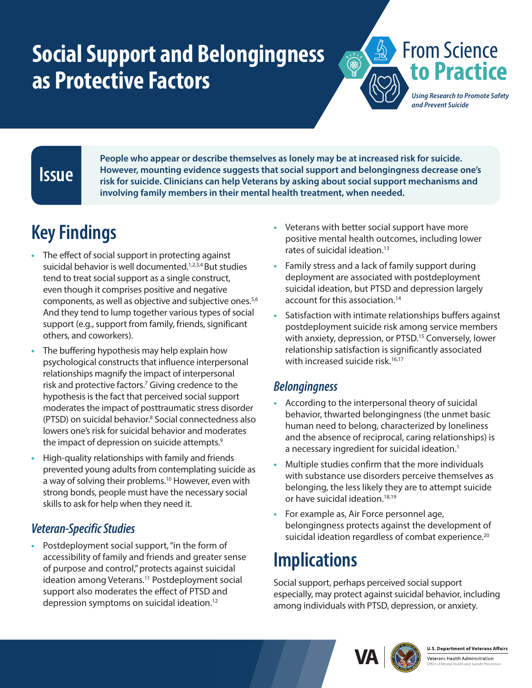# <span id="page-0-0"></span>**Social Support and Belongingness as Protective Factors**



### **Issue**

**People who appear or describe themselves as lonely may be at increased risk for suicide. However, mounting evidence suggests that social support and belongingness decrease one's risk for suicide. Clinicians can help Veterans by asking about social support mechanisms and involving family members in their mental health treatment, when needed.**

# **Key Findings**

- **•** The effect of social support in protecting against suicidal behavior is well documented.<sup>1,2,3,4</sup> But studies tend to treat social support as a single construct, even though it comprises positive and negative components, as well as objective and subjective ones.<sup>5,6</sup> And they tend to lump together various types of social support (e.g., support from family, friends, significant others, and coworkers).
- **•** The buffering hypothesis may help explain how psychological constructs that influence interpersonal relationships magnify the impact of interpersonal risk and protective factors.<sup>7</sup> Giving credence to the hypothesis is the fact that perceived social support moderates the impact of posttraumatic stress disorder (PTSD) on suicidal behavior.[8](#page-1-0) Social connectedness also lowers one's risk for suicidal behavior and moderates the impact of depression on suicide attempts.<sup>9</sup>
- **•** High-quality relationships with family and friends prevented young adults from contemplating suicide as a way of solving their problems.<sup>10</sup> However, even with strong bonds, people must have the necessary social skills to ask for help when they need it.

#### *Veteran-Specific Studies*

**•** Postdeployment social support, "in the form of accessibility of family and friends and greater sense of purpose and control," protects against suicidal ideation among Veterans.<sup>11</sup> Postdeployment social support also moderates the effect of PTSD and depression symptoms on suicidal ideation[.12](#page-1-0)

- **•** Veterans with better social support have more positive mental health outcomes, including lower rates of suicidal ideation.<sup>[13](#page-1-0)</sup>
- **•** Family stress and a lack of family support during deployment are associated with postdeployment suicidal ideation, but PTSD and depression largely account for this association.<sup>14</sup>
- **•** Satisfaction with intimate relationships buffers against postdeployment suicide risk among service members with anxiety, depression, or PTSD.<sup>[15](#page-1-0)</sup> Conversely, lower relationship satisfaction is significantly associated with increased suicide risk.<sup>16,17</sup>

#### *Belongingness*

- **•** According to the interpersonal theory of suicidal behavior, thwarted belongingness (the unmet basic human need to belong, characterized by loneliness and the absence of reciprocal, caring relationships) is a necessary ingredient for suicidal ideation.<sup>[1](#page-1-1)</sup>
- **•** Multiple studies confirm that the more individuals with substance use disorders perceive themselves as belonging, the less likely they are to attempt suicide or have suicidal ideation.<sup>[18,19](#page-1-0)</sup>
- **•** For example as, Air Force personnel age, belongingness protects against the development of suicidal ideation regardless of combat experience.<sup>[20](#page-1-0)</sup>

## **Implications**

Social support, perhaps perceived social support especially, may protect against suicidal behavior, including among individuals with PTSD, depression, or anxiety.